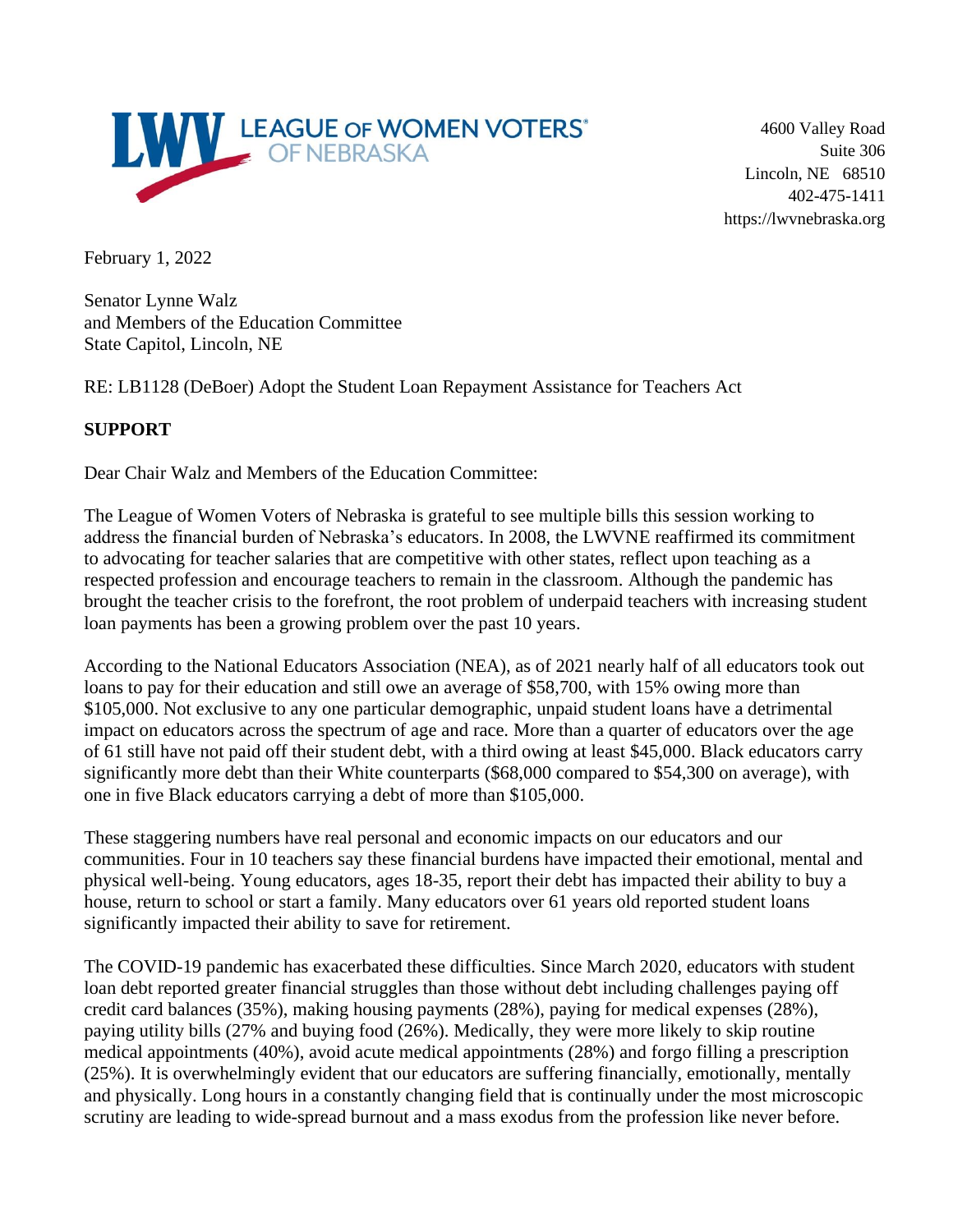

4600 Valley Road Suite 306 Lincoln, NE 68510 402-475-1411 https://lwvnebraska.org

February 1, 2022

Senator Lynne Walz and Members of the Education Committee State Capitol, Lincoln, NE

RE: LB1128 (DeBoer) Adopt the Student Loan Repayment Assistance for Teachers Act

## **SUPPORT**

Dear Chair Walz and Members of the Education Committee:

The League of Women Voters of Nebraska is grateful to see multiple bills this session working to address the financial burden of Nebraska's educators. In 2008, the LWVNE reaffirmed its commitment to advocating for teacher salaries that are competitive with other states, reflect upon teaching as a respected profession and encourage teachers to remain in the classroom. Although the pandemic has brought the teacher crisis to the forefront, the root problem of underpaid teachers with increasing student loan payments has been a growing problem over the past 10 years.

According to the National Educators Association (NEA), as of 2021 nearly half of all educators took out loans to pay for their education and still owe an average of \$58,700, with 15% owing more than \$105,000. Not exclusive to any one particular demographic, unpaid student loans have a detrimental impact on educators across the spectrum of age and race. More than a quarter of educators over the age of 61 still have not paid off their student debt, with a third owing at least \$45,000. Black educators carry significantly more debt than their White counterparts (\$68,000 compared to \$54,300 on average), with one in five Black educators carrying a debt of more than \$105,000.

These staggering numbers have real personal and economic impacts on our educators and our communities. Four in 10 teachers say these financial burdens have impacted their emotional, mental and physical well-being. Young educators, ages 18-35, report their debt has impacted their ability to buy a house, return to school or start a family. Many educators over 61 years old reported student loans significantly impacted their ability to save for retirement.

The COVID-19 pandemic has exacerbated these difficulties. Since March 2020, educators with student loan debt reported greater financial struggles than those without debt including challenges paying off credit card balances (35%), making housing payments (28%), paying for medical expenses (28%), paying utility bills (27% and buying food (26%). Medically, they were more likely to skip routine medical appointments (40%), avoid acute medical appointments (28%) and forgo filling a prescription (25%). It is overwhelmingly evident that our educators are suffering financially, emotionally, mentally and physically. Long hours in a constantly changing field that is continually under the most microscopic scrutiny are leading to wide-spread burnout and a mass exodus from the profession like never before.